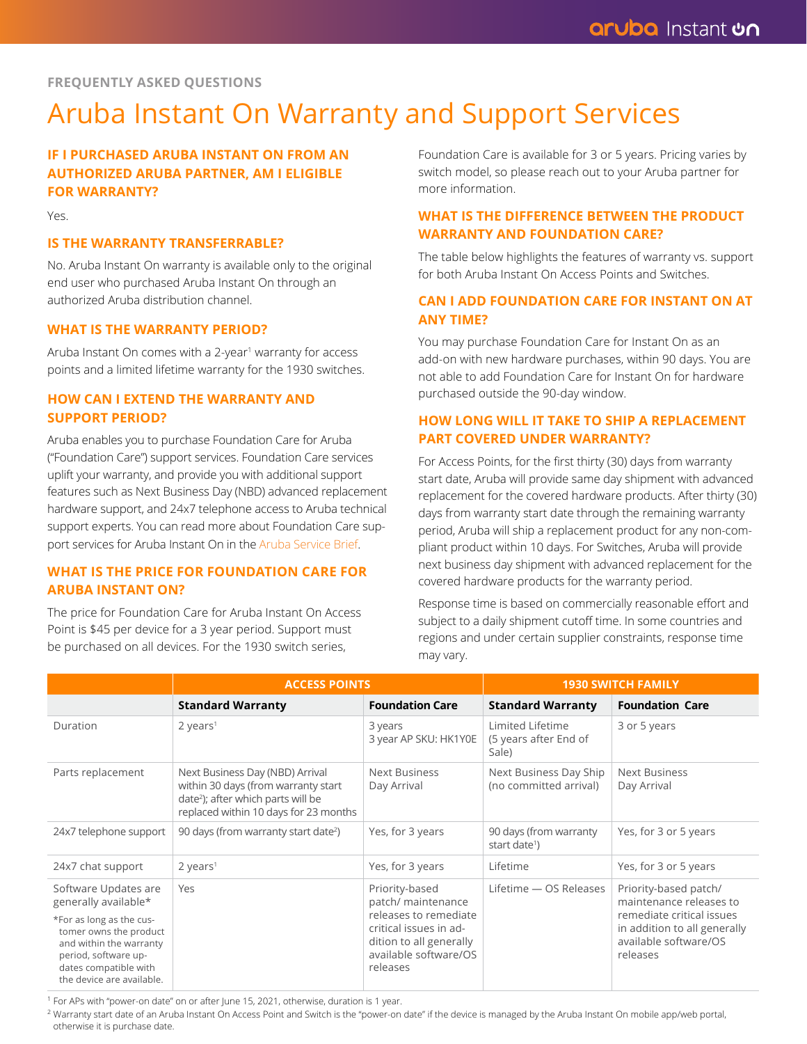#### **FREQUENTLY ASKED QUESTIONS**

# Aruba Instant On Warranty and Support Services

# **IF I PURCHASED ARUBA INSTANT ON FROM AN AUTHORIZED ARUBA PARTNER, AM I ELIGIBLE FOR WARRANTY?**

Yes.

#### **IS THE WARRANTY TRANSFERRABLE?**

No. Aruba Instant On warranty is available only to the original end user who purchased Aruba Instant On through an authorized Aruba distribution channel.

#### **WHAT IS THE WARRANTY PERIOD?**

Aruba Instant On comes with a 2-year<sup>1</sup> warranty for access points and a limited lifetime warranty for the 1930 switches.

## **HOW CAN I EXTEND THE WARRANTY AND SUPPORT PERIOD?**

Aruba enables you to purchase Foundation Care for Aruba ("Foundation Care") support services. Foundation Care services uplift your warranty, and provide you with additional support features such as Next Business Day (NBD) advanced replacement hardware support, and 24x7 telephone access to Aruba technical support experts. You can read more about Foundation Care support services for Aruba Instant On in the Aruba Service Brief.

#### **WHAT IS THE PRICE FOR FOUNDATION CARE FOR ARUBA INSTANT ON?**

The price for Foundation Care for Aruba Instant On Access Point is \$45 per device for a 3 year period. Support must be purchased on all devices. For the 1930 switch series,

Foundation Care is available for 3 or 5 years. Pricing varies by switch model, so please reach out to your Aruba partner for more information.

## **WHAT IS THE DIFFERENCE BETWEEN THE PRODUCT WARRANTY AND FOUNDATION CARE?**

The table below highlights the features of warranty vs. support for both Aruba Instant On Access Points and Switches.

### **CAN I ADD FOUNDATION CARE FOR INSTANT ON AT ANY TIME?**

You may purchase Foundation Care for Instant On as an add-on with new hardware purchases, within 90 days. You are not able to add Foundation Care for Instant On for hardware purchased outside the 90-day window.

# **HOW LONG WILL IT TAKE TO SHIP A REPLACEMENT PART COVERED UNDER WARRANTY?**

For Access Points, for the first thirty (30) days from warranty start date, Aruba will provide same day shipment with advanced replacement for the covered hardware products. After thirty (30) days from warranty start date through the remaining warranty period, Aruba will ship a replacement product for any non-compliant product within 10 days. For Switches, Aruba will provide next business day shipment with advanced replacement for the covered hardware products for the warranty period.

Response time is based on commercially reasonable effort and subject to a daily shipment cutoff time. In some countries and regions and under certain supplier constraints, response time may vary.

|                                                                                                                                                                                                             | <b>ACCESS POINTS</b>                                                                                                                                              |                                                                                                                                                         | <b>1930 SWITCH FAMILY</b>                           |                                                                                                                                                    |
|-------------------------------------------------------------------------------------------------------------------------------------------------------------------------------------------------------------|-------------------------------------------------------------------------------------------------------------------------------------------------------------------|---------------------------------------------------------------------------------------------------------------------------------------------------------|-----------------------------------------------------|----------------------------------------------------------------------------------------------------------------------------------------------------|
|                                                                                                                                                                                                             | <b>Standard Warranty</b>                                                                                                                                          | <b>Foundation Care</b>                                                                                                                                  | <b>Standard Warranty</b>                            | <b>Foundation Care</b>                                                                                                                             |
| Duration                                                                                                                                                                                                    | $2 \text{ years}^1$                                                                                                                                               | 3 years<br>3 year AP SKU: HK1Y0E                                                                                                                        | Limited Lifetime<br>(5 years after End of<br>Sale)  | 3 or 5 years                                                                                                                                       |
| Parts replacement                                                                                                                                                                                           | Next Business Day (NBD) Arrival<br>within 30 days (from warranty start<br>date <sup>2</sup> ); after which parts will be<br>replaced within 10 days for 23 months | <b>Next Business</b><br>Day Arrival                                                                                                                     | Next Business Day Ship<br>(no committed arrival)    | <b>Next Business</b><br>Day Arrival                                                                                                                |
| 24x7 telephone support                                                                                                                                                                                      | 90 days (from warranty start date <sup>2</sup> )                                                                                                                  | Yes, for 3 years                                                                                                                                        | 90 days (from warranty<br>start date <sup>1</sup> ) | Yes, for 3 or 5 years                                                                                                                              |
| 24x7 chat support                                                                                                                                                                                           | $2$ years <sup>1</sup>                                                                                                                                            | Yes, for 3 years                                                                                                                                        | Lifetime                                            | Yes, for 3 or 5 years                                                                                                                              |
| Software Updates are<br>generally available*<br>*For as long as the cus-<br>tomer owns the product<br>and within the warranty<br>period, software up-<br>dates compatible with<br>the device are available. | Yes                                                                                                                                                               | Priority-based<br>patch/ maintenance<br>releases to remediate<br>critical issues in ad-<br>dition to all generally<br>available software/OS<br>releases | Lifetime - OS Releases                              | Priority-based patch/<br>maintenance releases to<br>remediate critical issues<br>in addition to all generally<br>available software/OS<br>releases |

<sup>1</sup> For APs with "power-on date" on or after June 15, 2021, otherwise, duration is 1 year.

<sup>2</sup> Warranty start date of an Aruba Instant On Access Point and Switch is the "power-on date" if the device is managed by the Aruba Instant On mobile app/web portal, otherwise it is purchase date.